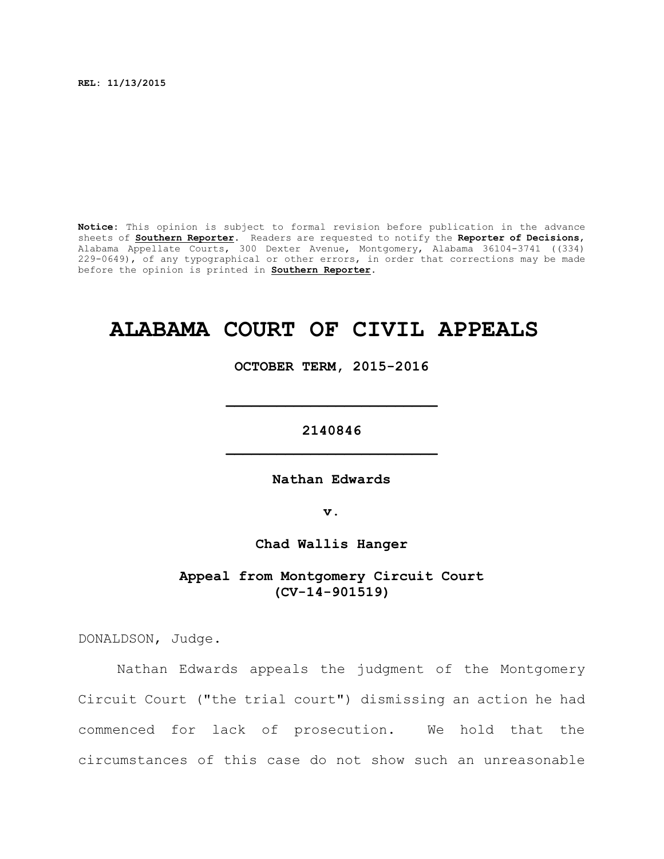**REL: 11/13/2015**

**Notice:** This opinion is subject to formal revision before publication in the advance sheets of **Southern Reporter**. Readers are requested to notify the **Reporter of Decisions**, Alabama Appellate Courts, 300 Dexter Avenue, Montgomery, Alabama 36104-3741 ((334) 229-0649), of any typographical or other errors, in order that corrections may be made before the opinion is printed in **Southern Reporter**.

# **ALABAMA COURT OF CIVIL APPEALS**

**OCTOBER TERM, 2015-2016**

**\_\_\_\_\_\_\_\_\_\_\_\_\_\_\_\_\_\_\_\_\_\_\_\_\_**

**2140846 \_\_\_\_\_\_\_\_\_\_\_\_\_\_\_\_\_\_\_\_\_\_\_\_\_**

**Nathan Edwards**

**v.**

**Chad Wallis Hanger**

**Appeal from Montgomery Circuit Court (CV-14-901519)**

DONALDSON, Judge.

Nathan Edwards appeals the judgment of the Montgomery Circuit Court ("the trial court") dismissing an action he had commenced for lack of prosecution. We hold that the circumstances of this case do not show such an unreasonable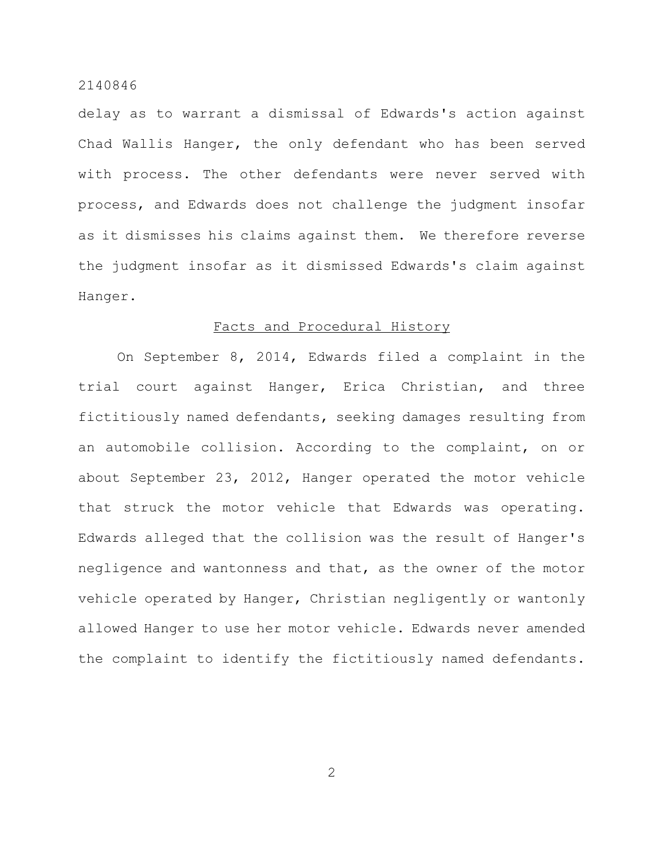delay as to warrant a dismissal of Edwards's action against Chad Wallis Hanger, the only defendant who has been served with process. The other defendants were never served with process, and Edwards does not challenge the judgment insofar as it dismisses his claims against them. We therefore reverse the judgment insofar as it dismissed Edwards's claim against Hanger.

#### Facts and Procedural History

On September 8, 2014, Edwards filed a complaint in the trial court against Hanger, Erica Christian, and three fictitiously named defendants, seeking damages resulting from an automobile collision. According to the complaint, on or about September 23, 2012, Hanger operated the motor vehicle that struck the motor vehicle that Edwards was operating. Edwards alleged that the collision was the result of Hanger's negligence and wantonness and that, as the owner of the motor vehicle operated by Hanger, Christian negligently or wantonly allowed Hanger to use her motor vehicle. Edwards never amended the complaint to identify the fictitiously named defendants.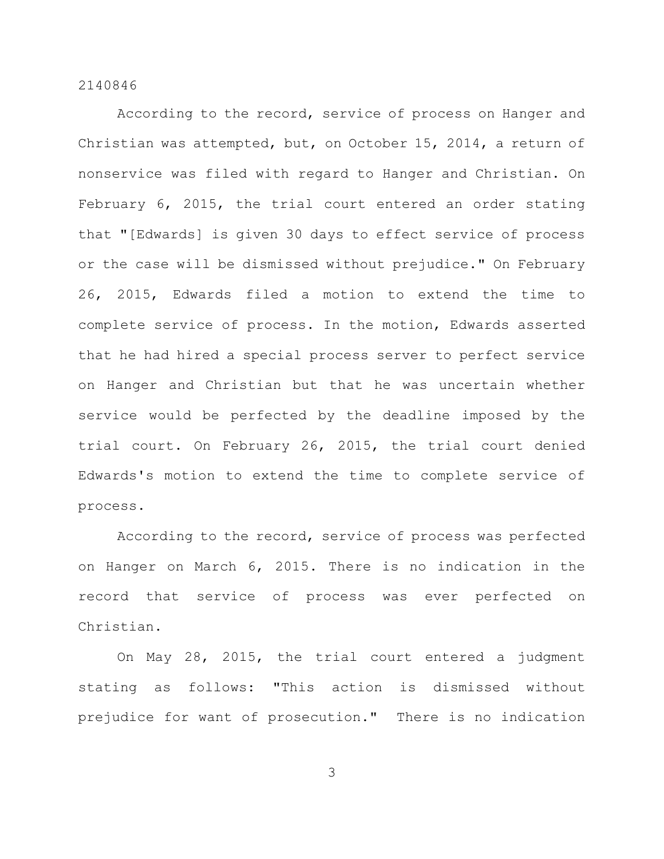According to the record, service of process on Hanger and Christian was attempted, but, on October 15, 2014, a return of nonservice was filed with regard to Hanger and Christian. On February 6, 2015, the trial court entered an order stating that "[Edwards] is given 30 days to effect service of process or the case will be dismissed without prejudice." On February 26, 2015, Edwards filed a motion to extend the time to complete service of process. In the motion, Edwards asserted that he had hired a special process server to perfect service on Hanger and Christian but that he was uncertain whether service would be perfected by the deadline imposed by the trial court. On February 26, 2015, the trial court denied Edwards's motion to extend the time to complete service of process.

According to the record, service of process was perfected on Hanger on March 6, 2015. There is no indication in the record that service of process was ever perfected on Christian.

On May 28, 2015, the trial court entered a judgment stating as follows: "This action is dismissed without prejudice for want of prosecution." There is no indication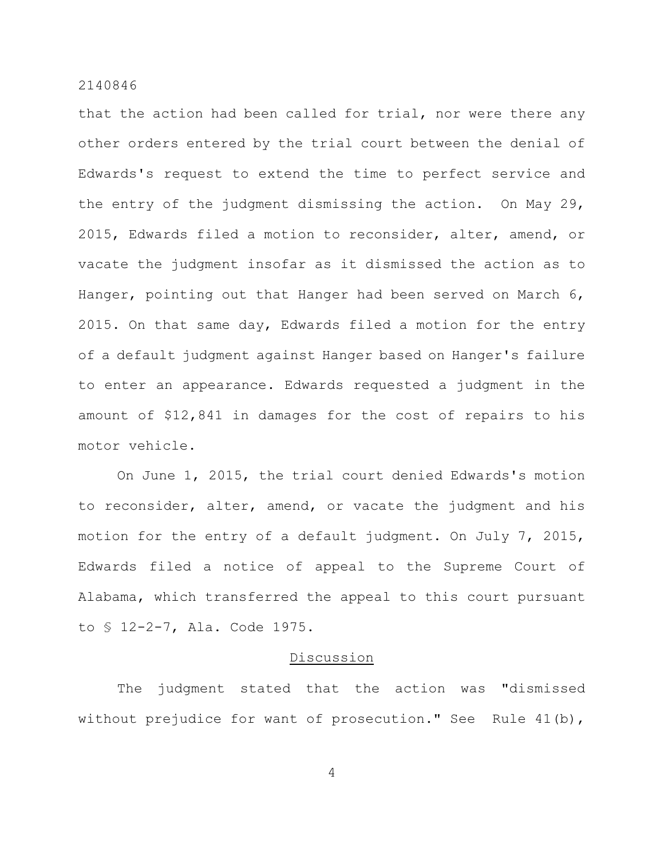that the action had been called for trial, nor were there any other orders entered by the trial court between the denial of Edwards's request to extend the time to perfect service and the entry of the judgment dismissing the action. On May 29, 2015, Edwards filed a motion to reconsider, alter, amend, or vacate the judgment insofar as it dismissed the action as to Hanger, pointing out that Hanger had been served on March 6, 2015. On that same day, Edwards filed a motion for the entry of a default judgment against Hanger based on Hanger's failure to enter an appearance. Edwards requested a judgment in the amount of \$12,841 in damages for the cost of repairs to his motor vehicle.

On June 1, 2015, the trial court denied Edwards's motion to reconsider, alter, amend, or vacate the judgment and his motion for the entry of a default judgment. On July 7, 2015, Edwards filed a notice of appeal to the Supreme Court of Alabama, which transferred the appeal to this court pursuant to § 12-2-7, Ala. Code 1975.

# Discussion

The judgment stated that the action was "dismissed without prejudice for want of prosecution." See Rule 41(b),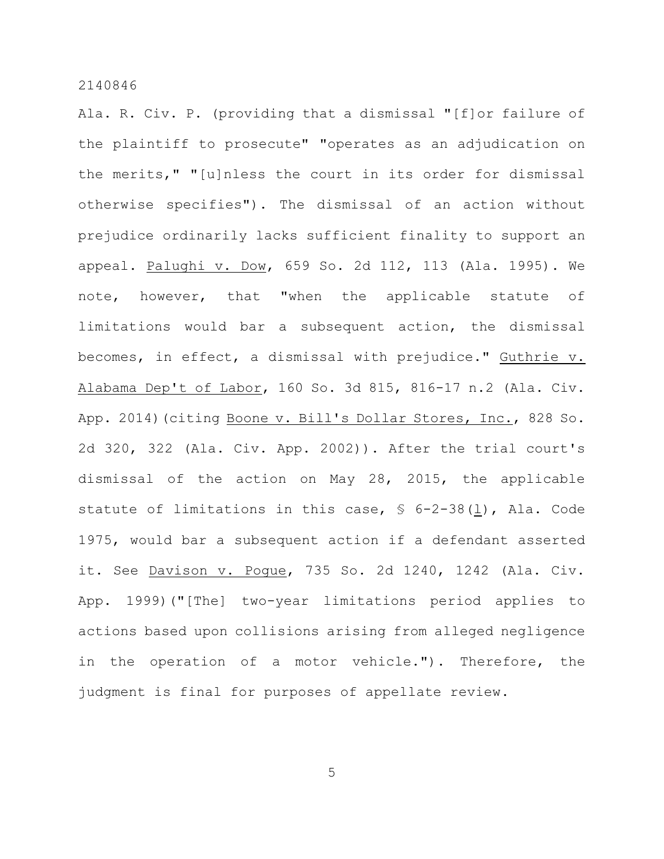Ala. R. Civ. P. (providing that a dismissal "[f]or failure of the plaintiff to prosecute" "operates as an adjudication on the merits," "[u]nless the court in its order for dismissal otherwise specifies"). The dismissal of an action without prejudice ordinarily lacks sufficient finality to support an appeal. Palughi v. Dow, 659 So. 2d 112, 113 (Ala. 1995). We note, however, that "when the applicable statute of limitations would bar a subsequent action, the dismissal becomes, in effect, a dismissal with prejudice." Guthrie v. Alabama Dep't of Labor, 160 So. 3d 815, 816-17 n.2 (Ala. Civ. App. 2014)(citing Boone v. Bill's Dollar Stores, Inc., 828 So. 2d 320, 322 (Ala. Civ. App. 2002)). After the trial court's dismissal of the action on May 28, 2015, the applicable statute of limitations in this case, § 6-2-38(l), Ala. Code 1975, would bar a subsequent action if a defendant asserted it. See Davison v. Pogue, 735 So. 2d 1240, 1242 (Ala. Civ. App. 1999)("[The] two-year limitations period applies to actions based upon collisions arising from alleged negligence in the operation of a motor vehicle."). Therefore, the judgment is final for purposes of appellate review.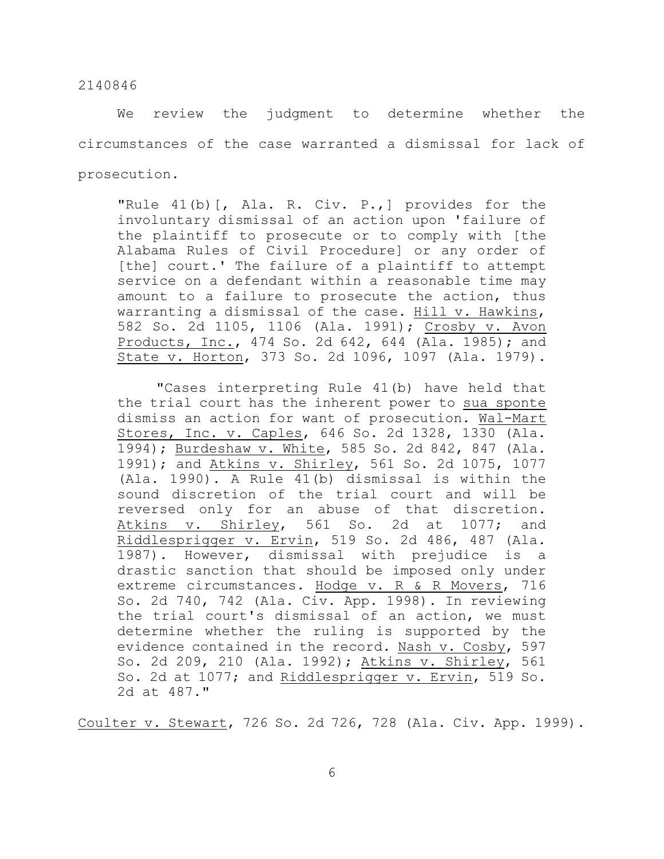We review the judgment to determine whether the circumstances of the case warranted a dismissal for lack of prosecution.

"Rule 41(b)[, Ala. R. Civ. P.,] provides for the involuntary dismissal of an action upon 'failure of the plaintiff to prosecute or to comply with [the Alabama Rules of Civil Procedure] or any order of [the] court.' The failure of a plaintiff to attempt service on a defendant within a reasonable time may amount to a failure to prosecute the action, thus warranting a dismissal of the case. Hill v. Hawkins, 582 So. 2d 1105, 1106 (Ala. 1991); Crosby v. Avon Products, Inc., 474 So. 2d 642, 644 (Ala. 1985); and State v. Horton, 373 So. 2d 1096, 1097 (Ala. 1979).

"Cases interpreting Rule 41(b) have held that the trial court has the inherent power to sua sponte dismiss an action for want of prosecution. Wal-Mart Stores, Inc. v. Caples, 646 So. 2d 1328, 1330 (Ala. 1994); Burdeshaw v. White, 585 So. 2d 842, 847 (Ala. 1991); and Atkins v. Shirley, 561 So. 2d 1075, 1077 (Ala. 1990). A Rule 41(b) dismissal is within the sound discretion of the trial court and will be reversed only for an abuse of that discretion. Atkins v. Shirley, 561 So. 2d at 1077; and Riddlesprigger v. Ervin, 519 So. 2d 486, 487 (Ala. 1987). However, dismissal with prejudice is a drastic sanction that should be imposed only under extreme circumstances. Hodge v. R & R Movers, 716 So. 2d 740, 742 (Ala. Civ. App. 1998). In reviewing the trial court's dismissal of an action, we must determine whether the ruling is supported by the evidence contained in the record. Nash v. Cosby, 597 So. 2d 209, 210 (Ala. 1992); Atkins v. Shirley, 561 So. 2d at 1077; and Riddlesprigger v. Ervin, 519 So. 2d at 487."

Coulter v. Stewart, 726 So. 2d 726, 728 (Ala. Civ. App. 1999).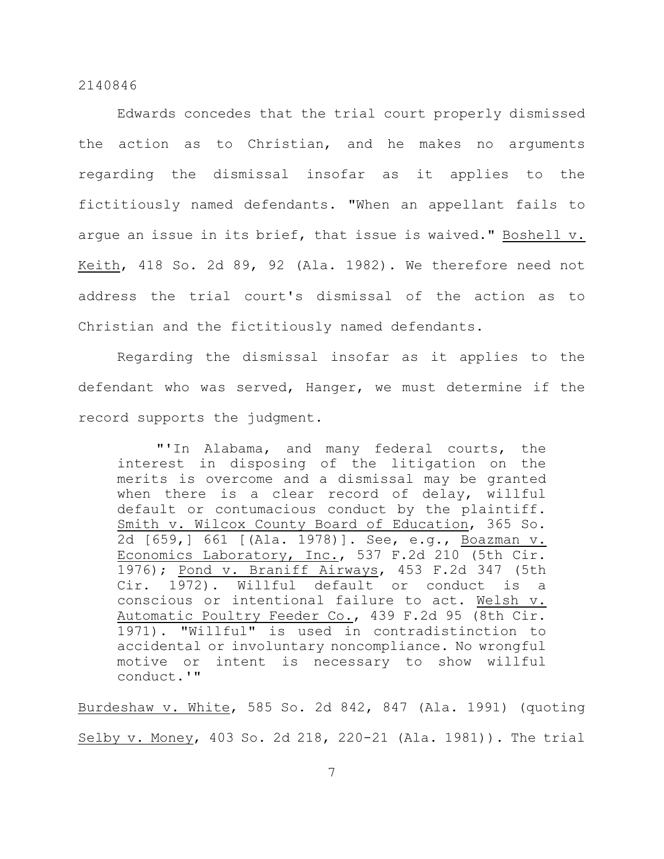Edwards concedes that the trial court properly dismissed the action as to Christian, and he makes no arguments regarding the dismissal insofar as it applies to the fictitiously named defendants. "When an appellant fails to argue an issue in its brief, that issue is waived." Boshell v. Keith, 418 So. 2d 89, 92 (Ala. 1982). We therefore need not address the trial court's dismissal of the action as to Christian and the fictitiously named defendants.

Regarding the dismissal insofar as it applies to the defendant who was served, Hanger, we must determine if the record supports the judgment.

"'In Alabama, and many federal courts, the interest in disposing of the litigation on the merits is overcome and a dismissal may be granted when there is a clear record of delay, willful default or contumacious conduct by the plaintiff. Smith v. Wilcox County Board of Education, 365 So. 2d [659,] 661 [(Ala. 1978)]. See, e.g., Boazman v. Economics Laboratory, Inc., 537 F.2d 210 (5th Cir. 1976); Pond v. Braniff Airways, 453 F.2d 347 (5th Cir. 1972). Willful default or conduct is a conscious or intentional failure to act. Welsh v. Automatic Poultry Feeder Co., 439 F.2d 95 (8th Cir. 1971). "Willful" is used in contradistinction to accidental or involuntary noncompliance. No wrongful motive or intent is necessary to show willful conduct.'"

Burdeshaw v. White, 585 So. 2d 842, 847 (Ala. 1991) (quoting Selby v. Money, 403 So. 2d 218, 220-21 (Ala. 1981)). The trial